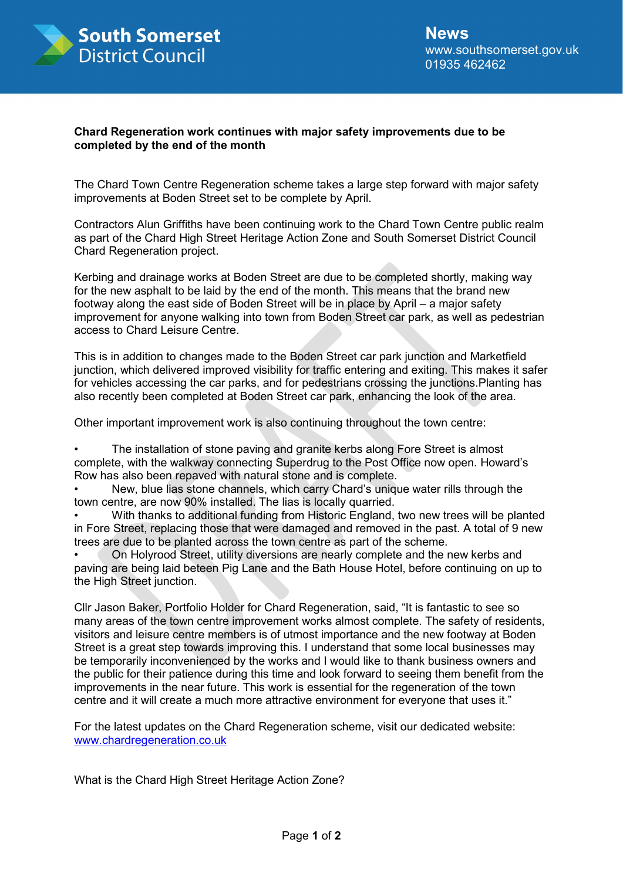

## **Chard Regeneration work continues with major safety improvements due to be completed by the end of the month**

The Chard Town Centre Regeneration scheme takes a large step forward with major safety improvements at Boden Street set to be complete by April.

Contractors Alun Griffiths have been continuing work to the Chard Town Centre public realm as part of the Chard High Street Heritage Action Zone and South Somerset District Council Chard Regeneration project.

Kerbing and drainage works at Boden Street are due to be completed shortly, making way for the new asphalt to be laid by the end of the month. This means that the brand new footway along the east side of Boden Street will be in place by April – a major safety improvement for anyone walking into town from Boden Street car park, as well as pedestrian access to Chard Leisure Centre.

This is in addition to changes made to the Boden Street car park junction and Marketfield junction, which delivered improved visibility for traffic entering and exiting. This makes it safer for vehicles accessing the car parks, and for pedestrians crossing the junctions.Planting has also recently been completed at Boden Street car park, enhancing the look of the area.

Other important improvement work is also continuing throughout the town centre:

The installation of stone paving and granite kerbs along Fore Street is almost complete, with the walkway connecting Superdrug to the Post Office now open. Howard's Row has also been repaved with natural stone and is complete.

• New, blue lias stone channels, which carry Chard's unique water rills through the town centre, are now 90% installed. The lias is locally quarried.

• With thanks to additional funding from Historic England, two new trees will be planted in Fore Street, replacing those that were damaged and removed in the past. A total of 9 new trees are due to be planted across the town centre as part of the scheme.

• On Holyrood Street, utility diversions are nearly complete and the new kerbs and paving are being laid beteen Pig Lane and the Bath House Hotel, before continuing on up to the High Street junction.

Cllr Jason Baker, Portfolio Holder for Chard Regeneration, said, "It is fantastic to see so many areas of the town centre improvement works almost complete. The safety of residents, visitors and leisure centre members is of utmost importance and the new footway at Boden Street is a great step towards improving this. I understand that some local businesses may be temporarily inconvenienced by the works and I would like to thank business owners and the public for their patience during this time and look forward to seeing them benefit from the improvements in the near future. This work is essential for the regeneration of the town centre and it will create a much more attractive environment for everyone that uses it."

For the latest updates on the Chard Regeneration scheme, visit our dedicated website: www.chardregeneration.co.uk

What is the Chard High Street Heritage Action Zone?